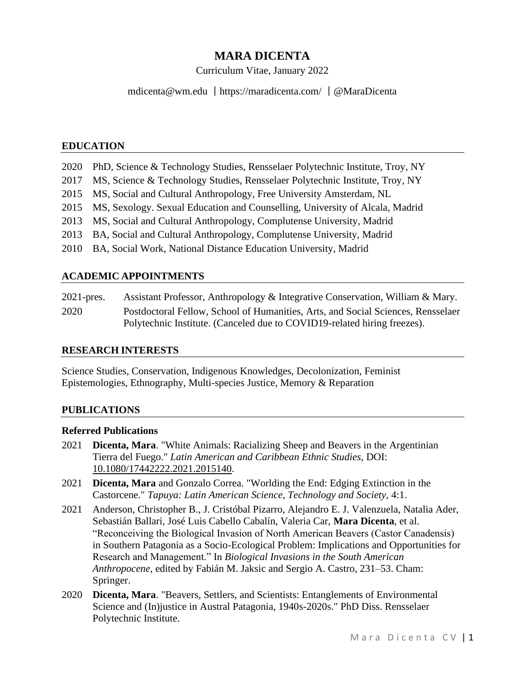# **MARA DICENTA**

Curriculum Vitae, January 2022

mdicenta@wm.edu |<https://maradicenta.com/> |@MaraDicenta

### **EDUCATION**

| 2020 PhD, Science & Technology Studies, Rensselaer Polytechnic Institute, Troy, NY |
|------------------------------------------------------------------------------------|
| 2017 MS, Science & Technology Studies, Rensselaer Polytechnic Institute, Troy, NY  |
| 2015 MS, Social and Cultural Anthropology, Free University Amsterdam, NL           |
| 2015 MS, Sexology. Sexual Education and Counselling, University of Alcala, Madrid  |
| 2013 MS, Social and Cultural Anthropology, Complutense University, Madrid          |
| 2013 BA, Social and Cultural Anthropology, Complutense University, Madrid          |
| 2010 BA, Social Work, National Distance Education University, Madrid               |

### **ACADEMIC APPOINTMENTS**

| $2021$ -pres. | Assistant Professor, Anthropology & Integrative Conservation, William & Mary.    |
|---------------|----------------------------------------------------------------------------------|
| 2020          | Postdoctoral Fellow, School of Humanities, Arts, and Social Sciences, Rensselaer |
|               | Polytechnic Institute. (Canceled due to COVID19-related hiring freezes).         |

### **RESEARCH INTERESTS**

Science Studies, Conservation, Indigenous Knowledges, Decolonization, Feminist Epistemologies, Ethnography, Multi-species Justice, Memory & Reparation

### **PUBLICATIONS**

#### **Referred Publications**

- 2021 **Dicenta, Mara**. "White Animals: Racializing Sheep and Beavers in the Argentinian Tierra del Fuego." *Latin American and Caribbean Ethnic Studies,* DOI: 10.1080/17442222.2021.2015140.
- 2021 **Dicenta, Mara** and Gonzalo Correa. "Worlding the End: Edging Extinction in the Castorcene." *Tapuya: Latin American Science, Technology and Society,* 4:1.
- 2021 Anderson, Christopher B., J. Cristóbal Pizarro, Alejandro E. J. Valenzuela, Natalia Ader, Sebastián Ballari, José Luis Cabello Cabalín, Valeria Car, **Mara Dicenta**, et al. "Reconceiving the Biological Invasion of North American Beavers (Castor Canadensis) in Southern Patagonia as a Socio-Ecological Problem: Implications and Opportunities for Research and Management." In *Biological Invasions in the South American Anthropocene*, edited by Fabián M. Jaksic and Sergio A. Castro, 231–53. Cham: Springer.
- 2020 **Dicenta, Mara**. "Beavers, Settlers, and Scientists: Entanglements of Environmental Science and (In)justice in Austral Patagonia, 1940s-2020s." PhD Diss. Rensselaer Polytechnic Institute.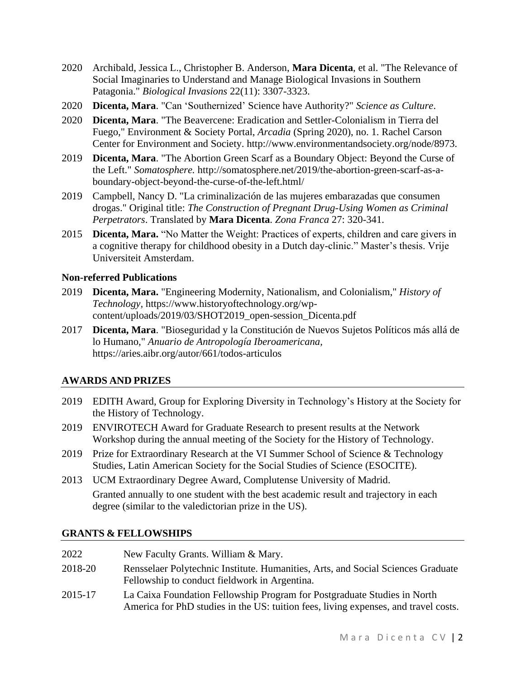- 2020 Archibald, Jessica L., Christopher B. Anderson, **Mara Dicenta**, et al. "The Relevance of Social Imaginaries to Understand and Manage Biological Invasions in Southern Patagonia." *Biological Invasions* 22(11): 3307-3323.
- 2020 **Dicenta, Mara**. "Can 'Southernized' Science have Authority?" *Science as Culture*.
- 2020 **Dicenta, Mara**. "The Beavercene: Eradication and Settler-Colonialism in Tierra del Fuego," Environment & Society Portal, *Arcadia* (Spring 2020), no. 1. Rachel Carson Center for Environment and Society. http://www.environmentandsociety.org/node/8973.
- 2019 **Dicenta, Mara**. "The Abortion Green Scarf as a Boundary Object: Beyond the Curse of the Left." *Somatosphere.* [http://somatosphere.net/2019/the-abortion-green-scarf-as-a](http://somatosphere.net/2019/the-abortion-green-scarf-as-a-boundary-object-beyond-the-curse-of-the-left.html/)[boundary-object-beyond-the-curse-of-the-left.html/](http://somatosphere.net/2019/the-abortion-green-scarf-as-a-boundary-object-beyond-the-curse-of-the-left.html/)
- 2019 Campbell, Nancy D. "La criminalización de las mujeres embarazadas que consumen drogas." Original title: *The Construction of Pregnant Drug-Using Women as Criminal Perpetrators*. Translated by **Mara Dicenta**. *Zona Franca* 27: 320-341.
- 2015 **Dicenta, Mara.** "No Matter the Weight: Practices of experts, children and care givers in a cognitive therapy for childhood obesity in a Dutch day-clinic." Master's thesis. Vrije Universiteit Amsterdam.

# **Non-referred Publications**

- 2019 **Dicenta, Mara.** "Engineering Modernity, Nationalism, and Colonialism," *History of Technology,* [https://www.historyoftechnology.org/wp](https://www.historyoftechnology.org/wp-content/uploads/2019/03/SHOT2019_open-session_Dicenta.pdf)[content/uploads/2019/03/SHOT2019\\_open-session\\_Dicenta.pdf](https://www.historyoftechnology.org/wp-content/uploads/2019/03/SHOT2019_open-session_Dicenta.pdf)
- 2017 **Dicenta, Mara**. "Bioseguridad y la Constitución de Nuevos Sujetos Políticos más allá de lo Humano," *Anuario de Antropología Iberoamericana,*  https://aries.aibr.org/autor/661/todos-articulos

# **AWARDS AND PRIZES**

- 2019 EDITH Award, Group for Exploring Diversity in Technology's History at the Society for the History of Technology.
- 2019 ENVIROTECH Award for Graduate Research to present results at the Network Workshop during the annual meeting of the Society for the History of Technology.
- 2019 Prize for Extraordinary Research at the VI Summer School of Science & Technology Studies, Latin American Society for the Social Studies of Science (ESOCITE).
- 2013 UCM Extraordinary Degree Award, Complutense University of Madrid. Granted annually to one student with the best academic result and trajectory in each degree (similar to the valedictorian prize in the US).

# **GRANTS & FELLOWSHIPS**

| 2022    | New Faculty Grants. William & Mary.                                                                                                                             |
|---------|-----------------------------------------------------------------------------------------------------------------------------------------------------------------|
| 2018-20 | Rensselaer Polytechnic Institute. Humanities, Arts, and Social Sciences Graduate<br>Fellowship to conduct fieldwork in Argentina.                               |
| 2015-17 | La Caixa Foundation Fellowship Program for Postgraduate Studies in North<br>America for PhD studies in the US: tuition fees, living expenses, and travel costs. |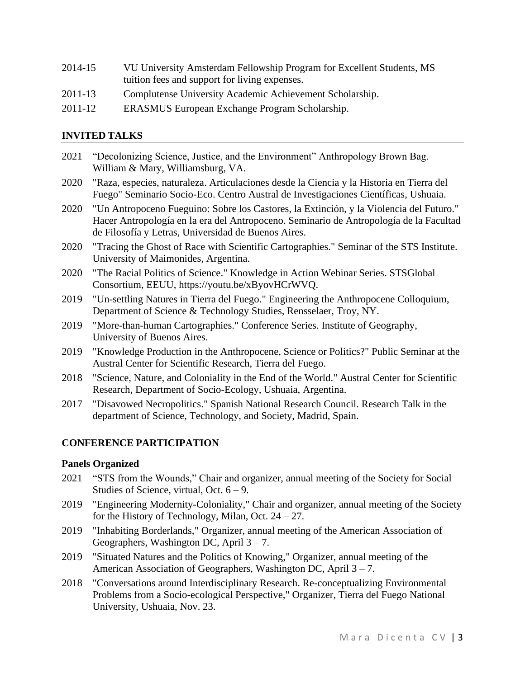| 2014-15 | VU University Amsterdam Fellowship Program for Excellent Students, MS |
|---------|-----------------------------------------------------------------------|
|         | tuition fees and support for living expenses.                         |

- 2011-13 Complutense University Academic Achievement Scholarship.
- 2011-12 ERASMUS European Exchange Program Scholarship.

#### **INVITED TALKS**

- 2021 "Decolonizing Science, Justice, and the Environment" Anthropology Brown Bag. William & Mary, Williamsburg, VA. 2020 "Raza, especies, naturaleza. Articulaciones desde la Ciencia y la Historia en Tierra del Fuego" Seminario Socio-Eco. Centro Austral de Investigaciones Científicas, Ushuaia. 2020 "Un Antropoceno Fueguino: Sobre los Castores, la Extinción, y la Violencia del Futuro." Hacer Antropología en la era del Antropoceno. Seminario de Antropología de la Facultad de Filosofía y Letras, Universidad de Buenos Aires.
- 2020 "Tracing the Ghost of Race with Scientific Cartographies." Seminar of the STS Institute. University of Maimonides, Argentina.
- 2020 "The Racial Politics of Science." Knowledge in Action Webinar Series. STSGlobal Consortium, EEUU, [https://youtu.be/xByovHCrWVQ.](https://youtu.be/xByovHCrWVQ)
- 2019 "Un-settling Natures in Tierra del Fuego." Engineering the Anthropocene Colloquium, Department of Science & Technology Studies, Rensselaer, Troy, NY.
- 2019 "More-than-human Cartographies." Conference Series. Institute of Geography, University of Buenos Aires.
- 2019 "Knowledge Production in the Anthropocene, Science or Politics?" Public Seminar at the Austral Center for Scientific Research, Tierra del Fuego.
- 2018 "Science, Nature, and Coloniality in the End of the World." Austral Center for Scientific Research, Department of Socio-Ecology, Ushuaia, Argentina.
- 2017 "Disavowed Necropolitics." Spanish National Research Council. Research Talk in the department of Science, Technology, and Society, Madrid, Spain.

### **CONFERENCE PARTICIPATION**

#### **Panels Organized**

- 2021 "STS from the Wounds," Chair and organizer, annual meeting of the Society for Social Studies of Science, virtual, Oct.  $6 - 9$ .
- 2019 "Engineering Modernity-Coloniality," Chair and organizer, annual meeting of the Society for the History of Technology, Milan, Oct.  $24 - 27$ .
- 2019 "Inhabiting Borderlands," Organizer, annual meeting of the American Association of Geographers, Washington DC, April  $3 - 7$ .
- 2019 "Situated Natures and the Politics of Knowing," Organizer, annual meeting of the American Association of Geographers, Washington DC, April 3 – 7.
- 2018 "Conversations around Interdisciplinary Research. Re-conceptualizing Environmental Problems from a Socio-ecological Perspective," Organizer, Tierra del Fuego National University, Ushuaia, Nov. 23.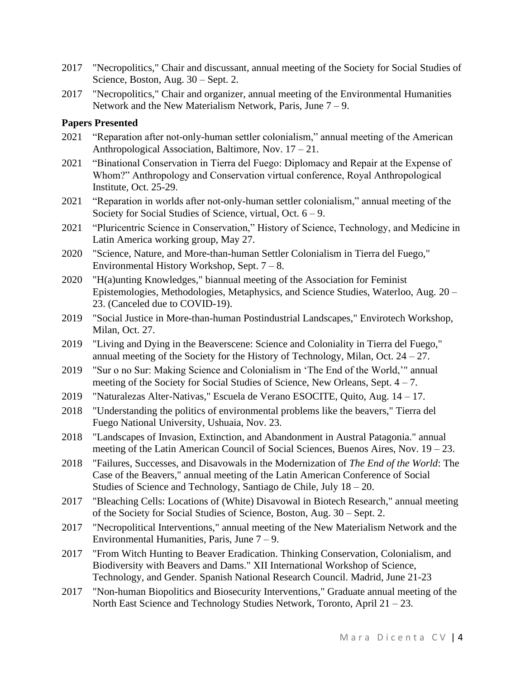- 2017 "Necropolitics," Chair and discussant, annual meeting of the Society for Social Studies of Science, Boston, Aug. 30 – Sept. 2.
- 2017 "Necropolitics," Chair and organizer, annual meeting of the Environmental Humanities Network and the New Materialism Network, Paris, June 7 – 9.

### **Papers Presented**

- 2021 "Reparation after not-only-human settler colonialism," annual meeting of the American Anthropological Association, Baltimore, Nov. 17 – 21.
- 2021 "Binational Conservation in Tierra del Fuego: Diplomacy and Repair at the Expense of Whom?" Anthropology and Conservation virtual conference, Royal Anthropological Institute, Oct. 25-29.
- 2021 "Reparation in worlds after not-only-human settler colonialism," annual meeting of the Society for Social Studies of Science, virtual, Oct. 6 – 9.
- 2021 "Pluricentric Science in Conservation," History of Science, Technology, and Medicine in Latin America working group, May 27.
- 2020 "Science, Nature, and More-than-human Settler Colonialism in Tierra del Fuego," Environmental History Workshop, Sept.  $7 - 8$ .
- 2020 "H(a)unting Knowledges," biannual meeting of the Association for Feminist Epistemologies, Methodologies, Metaphysics, and Science Studies, Waterloo, Aug. 20 – 23. (Canceled due to COVID-19).
- 2019 "Social Justice in More-than-human Postindustrial Landscapes," Envirotech Workshop, Milan, Oct. 27.
- 2019 "Living and Dying in the Beaverscene: Science and Coloniality in Tierra del Fuego," annual meeting of the Society for the History of Technology, Milan, Oct.  $24 - 27$ .
- 2019 "Sur o no Sur: Making Science and Colonialism in 'The End of the World,'" annual meeting of the Society for Social Studies of Science, New Orleans, Sept. 4 – 7.
- 2019 "Naturalezas Alter-Nativas," Escuela de Verano ESOCITE, Quito, Aug. 14 17.
- 2018 "Understanding the politics of environmental problems like the beavers," Tierra del Fuego National University, Ushuaia, Nov. 23.
- 2018 "Landscapes of Invasion, Extinction, and Abandonment in Austral Patagonia." annual meeting of the Latin American Council of Social Sciences, Buenos Aires, Nov. 19 – 23.
- 2018 "Failures, Successes, and Disavowals in the Modernization of *The End of the World*: The Case of the Beavers," annual meeting of the Latin American Conference of Social Studies of Science and Technology, Santiago de Chile, July 18 – 20.
- 2017 "Bleaching Cells: Locations of (White) Disavowal in Biotech Research," annual meeting of the Society for Social Studies of Science, Boston, Aug. 30 – Sept. 2.
- 2017 "Necropolitical Interventions," annual meeting of the New Materialism Network and the Environmental Humanities, Paris, June  $7 - 9$ .
- 2017 "From Witch Hunting to Beaver Eradication. Thinking Conservation, Colonialism, and Biodiversity with Beavers and Dams." XII International Workshop of Science, Technology, and Gender. Spanish National Research Council. Madrid, June 21-23
- 2017 "Non-human Biopolitics and Biosecurity Interventions," Graduate annual meeting of the North East Science and Technology Studies Network, Toronto, April 21 – 23.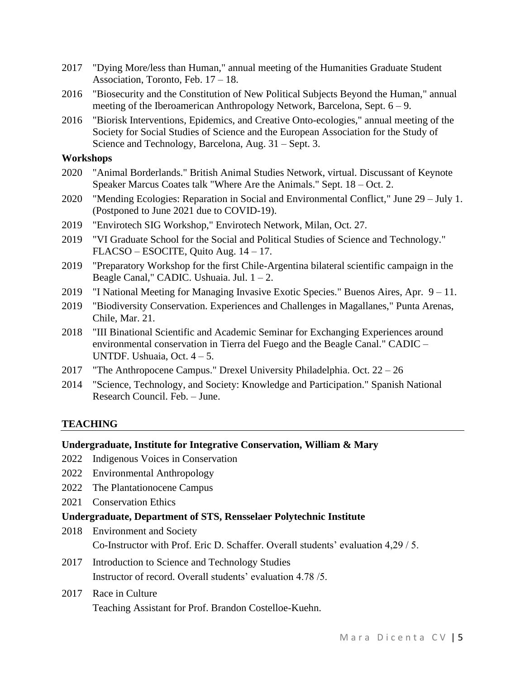- 2017 "Dying More/less than Human," annual meeting of the Humanities Graduate Student Association, Toronto, Feb. 17 – 18.
- 2016 "Biosecurity and the Constitution of New Political Subjects Beyond the Human," annual meeting of the Iberoamerican Anthropology Network, Barcelona, Sept. 6 – 9.
- 2016 "Biorisk Interventions, Epidemics, and Creative Onto-ecologies," annual meeting of the Society for Social Studies of Science and the European Association for the Study of Science and Technology, Barcelona, Aug. 31 – Sept. 3.

#### **Workshops**

- 2020 "Animal Borderlands." British Animal Studies Network, virtual. Discussant of Keynote Speaker Marcus Coates talk "Where Are the Animals." Sept. 18 – Oct. 2.
- 2020 "Mending Ecologies: Reparation in Social and Environmental Conflict," June 29 July 1. (Postponed to June 2021 due to COVID-19).
- 2019 "Envirotech SIG Workshop," Envirotech Network, Milan, Oct. 27.
- 2019 "VI Graduate School for the Social and Political Studies of Science and Technology." FLACSO – ESOCITE, Quito Aug. 14 – 17.
- 2019 "Preparatory Workshop for the first Chile-Argentina bilateral scientific campaign in the Beagle Canal," CADIC. Ushuaia. Jul.  $1 - 2$ .
- 2019 "I National Meeting for Managing Invasive Exotic Species." Buenos Aires, Apr. 9 11.
- 2019 "Biodiversity Conservation. Experiences and Challenges in Magallanes," Punta Arenas, Chile, Mar. 21.
- 2018 "III Binational Scientific and Academic Seminar for Exchanging Experiences around environmental conservation in Tierra del Fuego and the Beagle Canal." CADIC – UNTDF. Ushuaia, Oct. 4 – 5.
- 2017 "The Anthropocene Campus." Drexel University Philadelphia. Oct. 22 26
- 2014 "Science, Technology, and Society: Knowledge and Participation." Spanish National Research Council. Feb. – June.

### **TEACHING**

### **Undergraduate, Institute for Integrative Conservation, William & Mary**

- 2022 Indigenous Voices in Conservation
- 2022 Environmental Anthropology
- 2022 The Plantationocene Campus
- 2021 Conservation Ethics

#### **Undergraduate, Department of STS, Rensselaer Polytechnic Institute**

- 2018 Environment and Society Co-Instructor with Prof. Eric D. Schaffer. Overall students' evaluation 4,29 / 5.
- 2017 Introduction to Science and Technology Studies Instructor of record. Overall students' evaluation 4.78 /5.
- 2017 Race in Culture Teaching Assistant for Prof. Brandon Costelloe-Kuehn.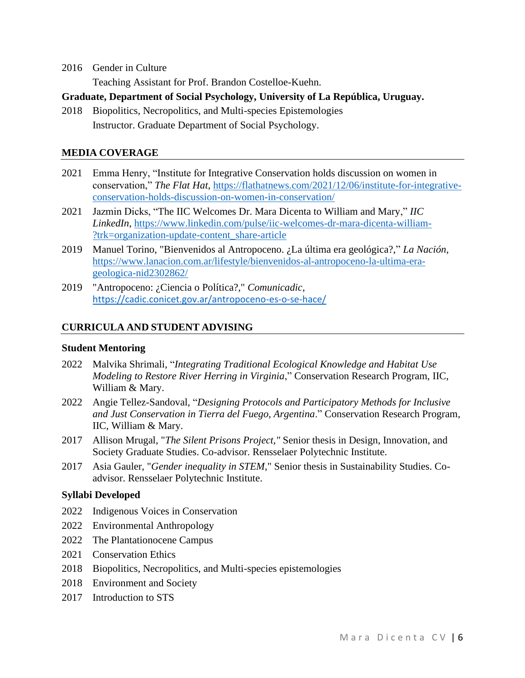2016 Gender in Culture

Teaching Assistant for Prof. Brandon Costelloe-Kuehn.

- **Graduate, Department of Social Psychology, University of La República, Uruguay.**
- 2018 Biopolitics, Necropolitics, and Multi-species Epistemologies Instructor. Graduate Department of Social Psychology.

### **MEDIA COVERAGE**

- 2021 Emma Henry, "Institute for Integrative Conservation holds discussion on women in conservation," *The Flat Hat*, [https://flathatnews.com/2021/12/06/institute-for-integrative](https://flathatnews.com/2021/12/06/institute-for-integrative-conservation-holds-discussion-on-women-in-conservation/)[conservation-holds-discussion-on-women-in-conservation/](https://flathatnews.com/2021/12/06/institute-for-integrative-conservation-holds-discussion-on-women-in-conservation/)
- 2021 Jazmin Dicks, "The IIC Welcomes Dr. Mara Dicenta to William and Mary," *IIC LinkedIn*, [https://www.linkedin.com/pulse/iic-welcomes-dr-mara-dicenta-william-](https://www.linkedin.com/pulse/iic-welcomes-dr-mara-dicenta-william-?trk=organization-update-content_share-article) [?trk=organization-update-content\\_share-article](https://www.linkedin.com/pulse/iic-welcomes-dr-mara-dicenta-william-?trk=organization-update-content_share-article)
- 2019 Manuel Torino, "Bienvenidos al Antropoceno. ¿La última era geológica?," *La Nación*, [https://www.lanacion.com.ar/lifestyle/bienvenidos-al-antropoceno-la-ultima-era](https://www.lanacion.com.ar/lifestyle/bienvenidos-al-antropoceno-la-ultima-era-geologica-nid2302862/)[geologica-nid2302862/](https://www.lanacion.com.ar/lifestyle/bienvenidos-al-antropoceno-la-ultima-era-geologica-nid2302862/)
- 2019 "Antropoceno: ¿Ciencia o Política?," *Comunicadic*, <https://cadic.conicet.gov.ar/antropoceno-es-o-se-hace/>

### **CURRICULA AND STUDENT ADVISING**

### **Student Mentoring**

- 2022 Malvika Shrimali, "*Integrating Traditional Ecological Knowledge and Habitat Use Modeling to Restore River Herring in Virginia*," Conservation Research Program, IIC, William & Mary.
- 2022 Angie Tellez-Sandoval, "*Designing Protocols and Participatory Methods for Inclusive and Just Conservation in Tierra del Fuego, Argentina*." Conservation Research Program, IIC, William & Mary.
- 2017 Allison Mrugal, "*The Silent Prisons Project,"* Senior thesis in Design, Innovation, and Society Graduate Studies. Co-advisor. Rensselaer Polytechnic Institute.
- 2017 Asia Gauler, "*Gender inequality in STEM*," Senior thesis in Sustainability Studies. Coadvisor. Rensselaer Polytechnic Institute.

### **Syllabi Developed**

- 2022 Indigenous Voices in Conservation
- 2022 Environmental Anthropology
- 2022 The Plantationocene Campus
- 2021 Conservation Ethics
- 2018 Biopolitics, Necropolitics, and Multi-species epistemologies
- 2018 Environment and Society
- 2017 Introduction to STS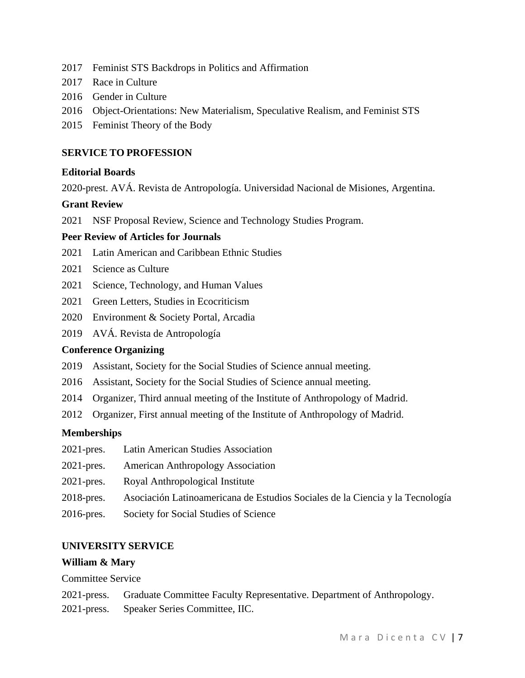- 2017 Feminist STS Backdrops in Politics and Affirmation
- 2017 Race in Culture
- 2016 Gender in Culture
- 2016 Object-Orientations: New Materialism, Speculative Realism, and Feminist STS
- 2015 Feminist Theory of the Body

# **SERVICE TO PROFESSION**

### **Editorial Boards**

2020-prest. AVÁ. Revista de Antropología. Universidad Nacional de Misiones, Argentina.

### **Grant Review**

2021 NSF Proposal Review, Science and Technology Studies Program.

### **Peer Review of Articles for Journals**

- 2021 Latin American and Caribbean Ethnic Studies
- 2021 Science as Culture
- 2021 Science, Technology, and Human Values
- 2021 Green Letters, Studies in Ecocriticism
- 2020 Environment & Society Portal*,* Arcadia
- 2019 AVÁ. Revista de Antropología

### **Conference Organizing**

- 2019 Assistant, Society for the Social Studies of Science annual meeting.
- 2016 Assistant, Society for the Social Studies of Science annual meeting.
- 2014 Organizer, Third annual meeting of the Institute of Anthropology of Madrid.
- 2012 Organizer, First annual meeting of the Institute of Anthropology of Madrid.

#### **Memberships**

- 2021-pres. Latin American Studies Association
- 2021-pres. American Anthropology Association
- 2021-pres. Royal Anthropological Institute
- 2018-pres. Asociación Latinoamericana de Estudios Sociales de la Ciencia y la Tecnología
- 2016-pres. Society for Social Studies of Science

### **UNIVERSITY SERVICE**

#### **William & Mary**

Committee Service

- 2021-press. Graduate Committee Faculty Representative. Department of Anthropology.
- 2021-press. Speaker Series Committee, IIC.